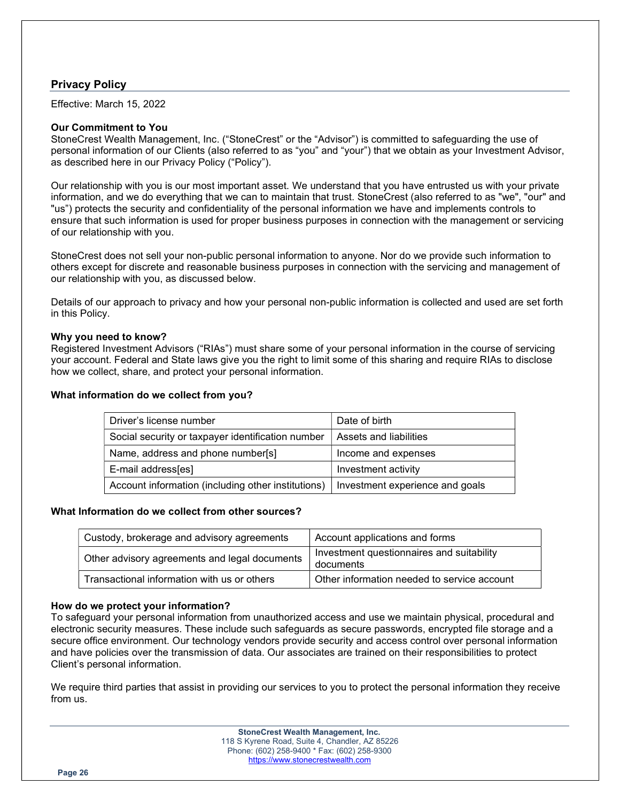# Privacy Policy

Effective: March 15, 2022

## Our Commitment to You

StoneCrest Wealth Management, Inc. ("StoneCrest" or the "Advisor") is committed to safeguarding the use of personal information of our Clients (also referred to as "you" and "your") that we obtain as your Investment Advisor, as described here in our Privacy Policy ("Policy").

Our relationship with you is our most important asset. We understand that you have entrusted us with your private information, and we do everything that we can to maintain that trust. StoneCrest (also referred to as "we", "our" and "us") protects the security and confidentiality of the personal information we have and implements controls to ensure that such information is used for proper business purposes in connection with the management or servicing of our relationship with you.

StoneCrest does not sell your non-public personal information to anyone. Nor do we provide such information to others except for discrete and reasonable business purposes in connection with the servicing and management of our relationship with you, as discussed below.

Details of our approach to privacy and how your personal non-public information is collected and used are set forth in this Policy.

### Why you need to know?

Registered Investment Advisors ("RIAs") must share some of your personal information in the course of servicing your account. Federal and State laws give you the right to limit some of this sharing and require RIAs to disclose how we collect, share, and protect your personal information.

### What information do we collect from you?

| Driver's license number                            | Date of birth                   |
|----------------------------------------------------|---------------------------------|
| Social security or taxpayer identification number  | Assets and liabilities          |
| Name, address and phone number[s]                  | Income and expenses             |
| E-mail address[es]                                 | Investment activity             |
| Account information (including other institutions) | Investment experience and goals |

## What Information do we collect from other sources?

| Custody, brokerage and advisory agreements    | Account applications and forms                         |
|-----------------------------------------------|--------------------------------------------------------|
| Other advisory agreements and legal documents | Investment questionnaires and suitability<br>documents |
| Transactional information with us or others   | Other information needed to service account            |

# How do we protect your information?

To safeguard your personal information from unauthorized access and use we maintain physical, procedural and electronic security measures. These include such safeguards as secure passwords, encrypted file storage and a secure office environment. Our technology vendors provide security and access control over personal information and have policies over the transmission of data. Our associates are trained on their responsibilities to protect Client's personal information.

We require third parties that assist in providing our services to you to protect the personal information they receive from us.